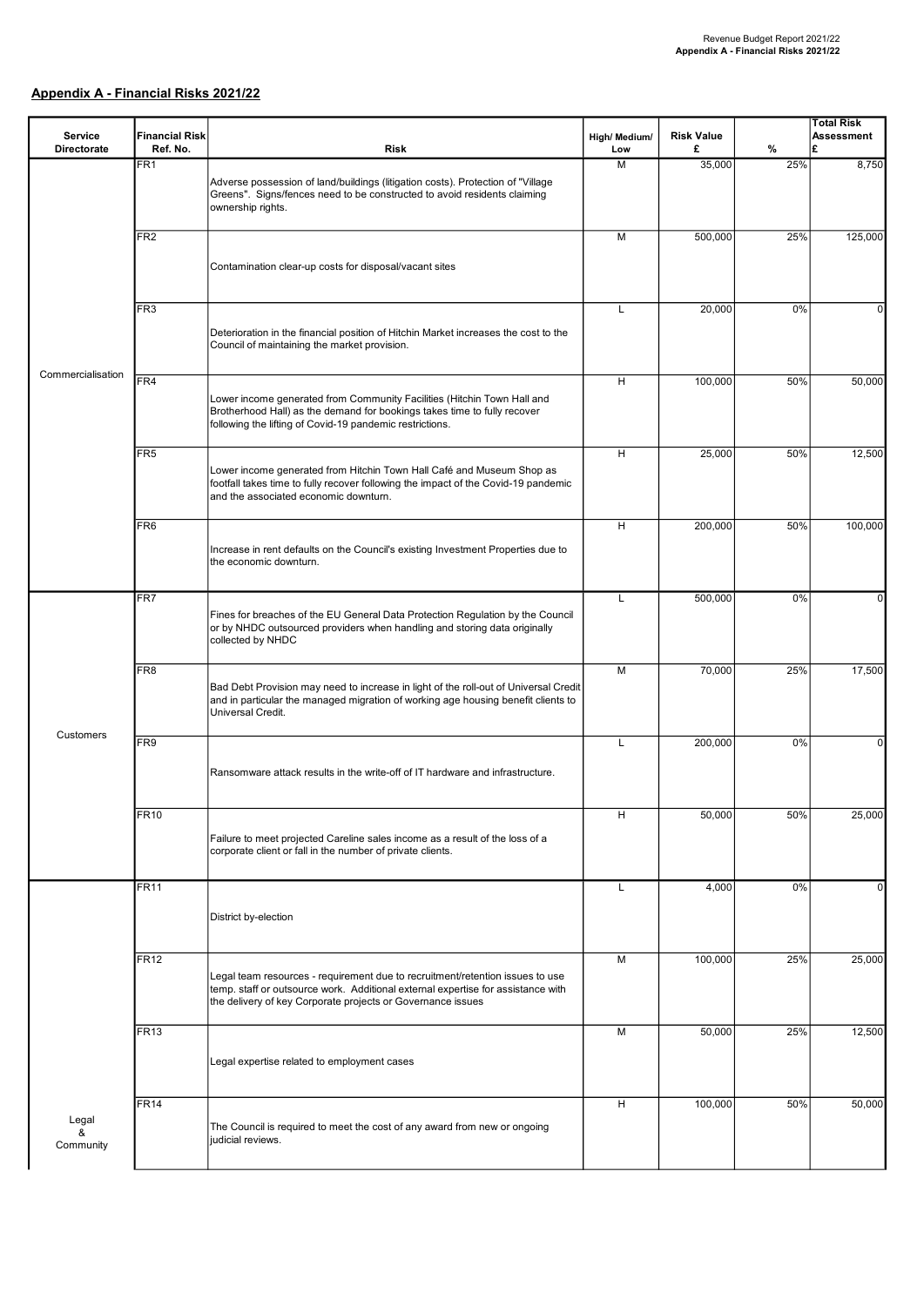## Appendix A - Financial Risks 2021/22

|                               |                                   |                                                                                                                                                                                                                                  |               |                        |     | <b>Total Risk</b> |
|-------------------------------|-----------------------------------|----------------------------------------------------------------------------------------------------------------------------------------------------------------------------------------------------------------------------------|---------------|------------------------|-----|-------------------|
| Service<br><b>Directorate</b> | <b>Financial Risk</b><br>Ref. No. | <b>Risk</b>                                                                                                                                                                                                                      | High/ Medium/ | <b>Risk Value</b><br>£ | %   | <b>Assessment</b> |
|                               | FR <sub>1</sub>                   |                                                                                                                                                                                                                                  | Low<br>M      | 35,000                 | 25% | 8,750             |
|                               |                                   | Adverse possession of land/buildings (litigation costs). Protection of "Village<br>Greens". Signs/fences need to be constructed to avoid residents claiming<br>ownership rights.                                                 |               |                        |     |                   |
|                               | FR <sub>2</sub>                   |                                                                                                                                                                                                                                  | M             | 500,000                | 25% | 125,000           |
|                               |                                   | Contamination clear-up costs for disposal/vacant sites                                                                                                                                                                           |               |                        |     |                   |
|                               | FR <sub>3</sub>                   | Deterioration in the financial position of Hitchin Market increases the cost to the<br>Council of maintaining the market provision.                                                                                              | L             | 20,000                 | 0%  | 0                 |
| Commercialisation             | FR4                               |                                                                                                                                                                                                                                  | H             | 100,000                | 50% | 50,000            |
|                               |                                   | Lower income generated from Community Facilities (Hitchin Town Hall and<br>Brotherhood Hall) as the demand for bookings takes time to fully recover<br>following the lifting of Covid-19 pandemic restrictions.                  |               |                        |     |                   |
|                               | FR <sub>5</sub>                   | Lower income generated from Hitchin Town Hall Café and Museum Shop as<br>footfall takes time to fully recover following the impact of the Covid-19 pandemic<br>and the associated economic downturn.                             | н             | 25,000                 | 50% | 12,500            |
|                               | FR <sub>6</sub>                   |                                                                                                                                                                                                                                  | н             | 200,000                | 50% | 100,000           |
|                               |                                   | Increase in rent defaults on the Council's existing Investment Properties due to<br>the economic downturn.                                                                                                                       |               |                        |     |                   |
|                               | FR7                               |                                                                                                                                                                                                                                  | L             | 500,000                | 0%  | $\Omega$          |
|                               |                                   | Fines for breaches of the EU General Data Protection Regulation by the Council<br>or by NHDC outsourced providers when handling and storing data originally<br>collected by NHDC                                                 |               |                        |     |                   |
|                               | FR <sub>8</sub>                   | Bad Debt Provision may need to increase in light of the roll-out of Universal Credit<br>and in particular the managed migration of working age housing benefit clients to<br>Universal Credit.                                   | M             | 70,000                 | 25% | 17,500            |
| Customers                     |                                   |                                                                                                                                                                                                                                  |               |                        |     |                   |
|                               | FR9                               | Ransomware attack results in the write-off of IT hardware and infrastructure.                                                                                                                                                    | L             | 200,000                | 0%  | $\Omega$          |
|                               | FR10                              |                                                                                                                                                                                                                                  | н             | 50,000                 | 50% | 25,000            |
|                               |                                   | Failure to meet projected Careline sales income as a result of the loss of a<br>corporate client or fall in the number of private clients.                                                                                       |               |                        |     |                   |
|                               | FR11                              |                                                                                                                                                                                                                                  | L             | 4,000                  | 0%  | 0                 |
|                               |                                   | District by-election                                                                                                                                                                                                             |               |                        |     |                   |
|                               | <b>FR12</b>                       | Legal team resources - requirement due to recruitment/retention issues to use<br>temp. staff or outsource work. Additional external expertise for assistance with<br>the delivery of key Corporate projects or Governance issues | M             | 100,000                | 25% | 25,000            |
|                               | FR13                              |                                                                                                                                                                                                                                  | M             | 50,000                 | 25% | 12,500            |
|                               |                                   | Legal expertise related to employment cases                                                                                                                                                                                      |               |                        |     |                   |
|                               | <b>FR14</b>                       |                                                                                                                                                                                                                                  | н             | 100,000                | 50% | 50,000            |
| Legal<br>&<br>Community       |                                   | The Council is required to meet the cost of any award from new or ongoing<br>judicial reviews.                                                                                                                                   |               |                        |     |                   |
|                               |                                   |                                                                                                                                                                                                                                  |               |                        |     |                   |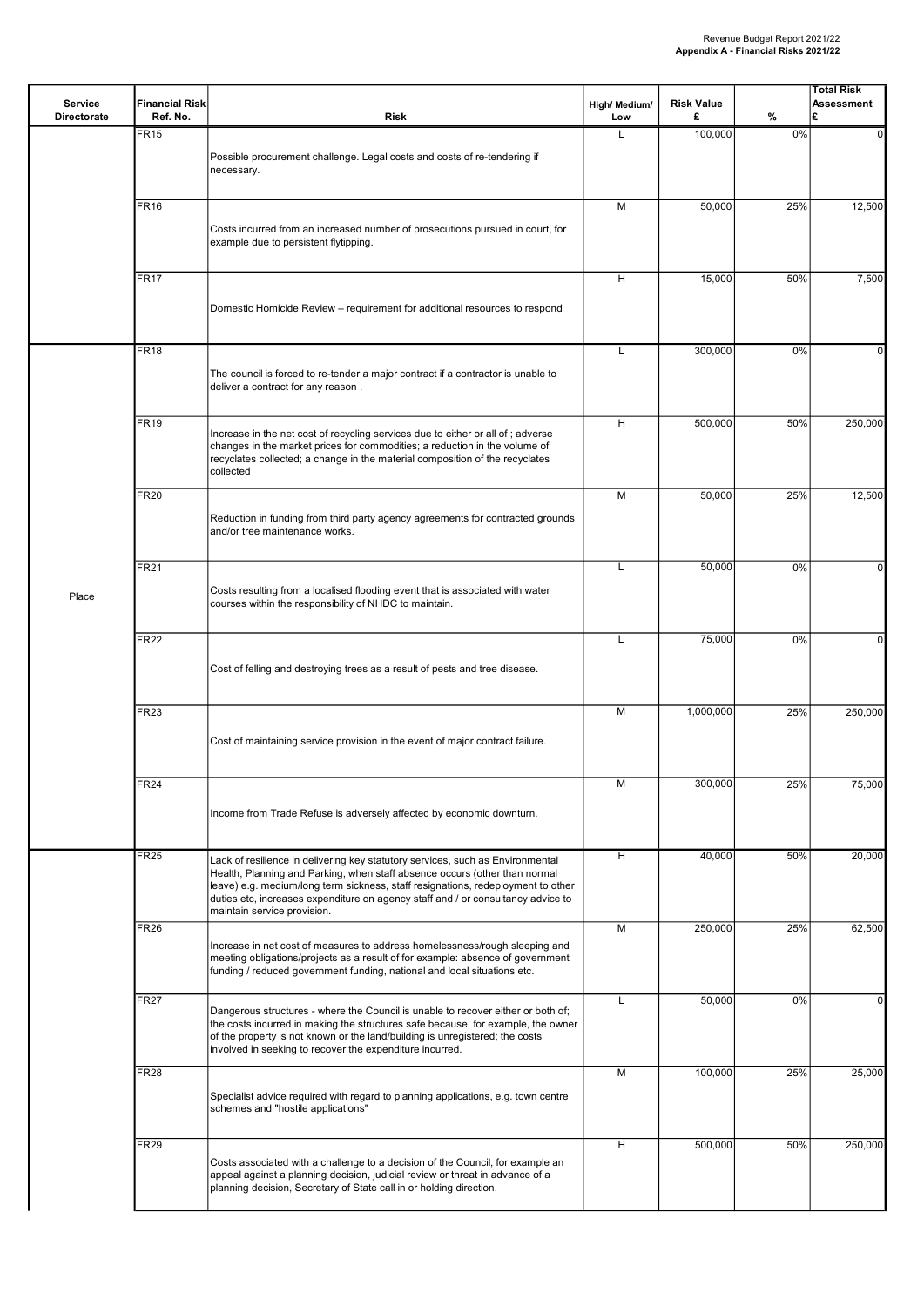| Service<br><b>Directorate</b> | <b>Financial Risk</b><br>Ref. No. | <b>Risk</b>                                                                                                                                                                                                                                                                                                                                                         | High/ Medium/<br>Low | <b>Risk Value</b><br>£ | %   | Total Risk<br><b>Assessment</b><br>£ |
|-------------------------------|-----------------------------------|---------------------------------------------------------------------------------------------------------------------------------------------------------------------------------------------------------------------------------------------------------------------------------------------------------------------------------------------------------------------|----------------------|------------------------|-----|--------------------------------------|
|                               | <b>FR15</b>                       | Possible procurement challenge. Legal costs and costs of re-tendering if<br>necessary.                                                                                                                                                                                                                                                                              | L                    | 100,000                | 0%  | $\mathbf{0}$                         |
|                               | <b>FR16</b>                       | Costs incurred from an increased number of prosecutions pursued in court, for<br>example due to persistent flytipping.                                                                                                                                                                                                                                              | M                    | 50,000                 | 25% | 12,500                               |
|                               | <b>FR17</b>                       | Domestic Homicide Review - requirement for additional resources to respond                                                                                                                                                                                                                                                                                          | н                    | 15,000                 | 50% | 7,500                                |
|                               | <b>FR18</b>                       | The council is forced to re-tender a major contract if a contractor is unable to<br>deliver a contract for any reason.                                                                                                                                                                                                                                              | L                    | 300,000                | 0%  | 0                                    |
|                               | <b>FR19</b>                       | Increase in the net cost of recycling services due to either or all of ; adverse<br>changes in the market prices for commodities; a reduction in the volume of<br>recyclates collected; a change in the material composition of the recyclates<br>collected                                                                                                         | Н                    | 500.000                | 50% | 250,000                              |
| Place                         | FR <sub>20</sub>                  | Reduction in funding from third party agency agreements for contracted grounds<br>and/or tree maintenance works.                                                                                                                                                                                                                                                    | M                    | 50,000                 | 25% | 12,500                               |
|                               | <b>FR21</b>                       | Costs resulting from a localised flooding event that is associated with water<br>courses within the responsibility of NHDC to maintain.                                                                                                                                                                                                                             | L                    | 50,000                 | 0%  | $\Omega$                             |
|                               | <b>FR22</b>                       | Cost of felling and destroying trees as a result of pests and tree disease.                                                                                                                                                                                                                                                                                         | L                    | 75,000                 | 0%  | 0                                    |
|                               | FR23                              | Cost of maintaining service provision in the event of major contract failure.                                                                                                                                                                                                                                                                                       | M                    | 1,000,000              | 25% | 250,000                              |
|                               | FR24                              | Income from Trade Refuse is adversely affected by economic downturn.                                                                                                                                                                                                                                                                                                | М                    | 300,000                | 25% | 75,000                               |
|                               | FR25                              | Lack of resilience in delivering key statutory services, such as Environmental<br>Health, Planning and Parking, when staff absence occurs (other than normal<br>leave) e.g. medium/long term sickness, staff resignations, redeployment to other<br>duties etc, increases expenditure on agency staff and / or consultancy advice to<br>maintain service provision. | H                    | 40,000                 | 50% | 20,000                               |
|                               | <b>FR26</b>                       | Increase in net cost of measures to address homelessness/rough sleeping and<br>meeting obligations/projects as a result of for example: absence of government<br>funding / reduced government funding, national and local situations etc.                                                                                                                           | M                    | 250,000                | 25% | 62,500                               |
|                               | <b>FR27</b>                       | Dangerous structures - where the Council is unable to recover either or both of;<br>the costs incurred in making the structures safe because, for example, the owner<br>of the property is not known or the land/building is unregistered; the costs<br>involved in seeking to recover the expenditure incurred.                                                    | L                    | 50,000                 | 0%  | 0                                    |
|                               | <b>FR28</b>                       | Specialist advice required with regard to planning applications, e.g. town centre<br>schemes and "hostile applications"                                                                                                                                                                                                                                             | M                    | 100,000                | 25% | 25,000                               |
|                               | FR29                              | Costs associated with a challenge to a decision of the Council, for example an<br>appeal against a planning decision, judicial review or threat in advance of a<br>planning decision, Secretary of State call in or holding direction.                                                                                                                              | н                    | 500,000                | 50% | 250,000                              |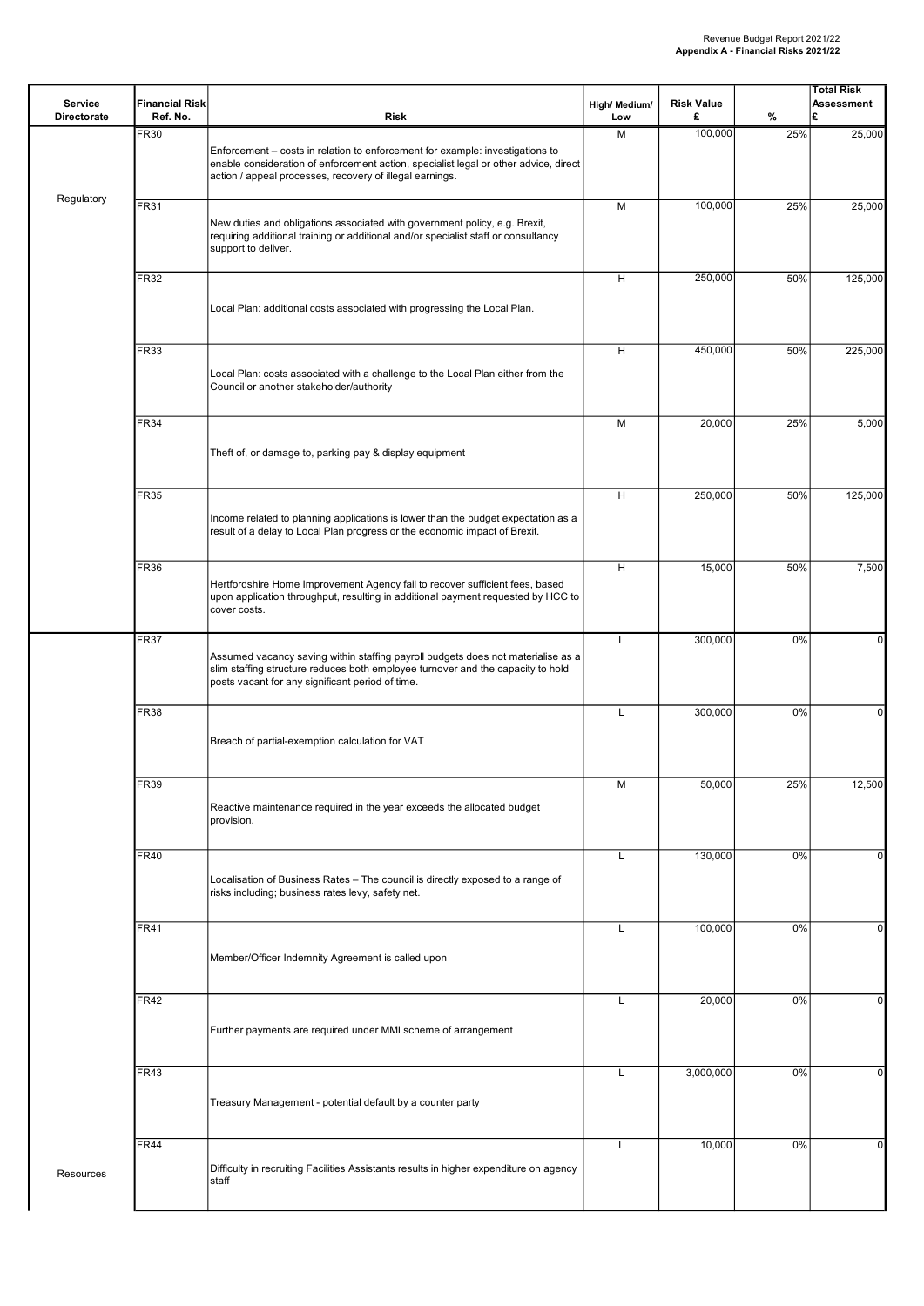| Service<br><b>Directorate</b> | <b>Financial Risk</b><br>Ref. No. | <b>Risk</b>                                                                                                                                                                                                                       | High/ Medium/<br>Low | <b>Risk Value</b><br>£ | %   | Total Risk<br><b>Assessment</b><br>£ |
|-------------------------------|-----------------------------------|-----------------------------------------------------------------------------------------------------------------------------------------------------------------------------------------------------------------------------------|----------------------|------------------------|-----|--------------------------------------|
|                               | <b>FR30</b>                       | Enforcement - costs in relation to enforcement for example: investigations to<br>enable consideration of enforcement action, specialist legal or other advice, direct<br>action / appeal processes, recovery of illegal earnings. | M                    | 100,000                | 25% | 25,000                               |
| Regulatory                    | <b>FR31</b>                       | New duties and obligations associated with government policy, e.g. Brexit,<br>requiring additional training or additional and/or specialist staff or consultancy<br>support to deliver.                                           | M                    | 100,000                | 25% | 25,000                               |
|                               | <b>FR32</b>                       | Local Plan: additional costs associated with progressing the Local Plan.                                                                                                                                                          | н                    | 250,000                | 50% | 125,000                              |
|                               | <b>FR33</b>                       | Local Plan: costs associated with a challenge to the Local Plan either from the<br>Council or another stakeholder/authority                                                                                                       | н                    | 450,000                | 50% | 225,000                              |
|                               | <b>FR34</b>                       | Theft of, or damage to, parking pay & display equipment                                                                                                                                                                           | M                    | 20,000                 | 25% | 5,000                                |
|                               | <b>FR35</b>                       | Income related to planning applications is lower than the budget expectation as a<br>result of a delay to Local Plan progress or the economic impact of Brexit.                                                                   | н                    | 250,000                | 50% | 125,000                              |
|                               | <b>FR36</b>                       | Hertfordshire Home Improvement Agency fail to recover sufficient fees, based<br>upon application throughput, resulting in additional payment requested by HCC to<br>cover costs.                                                  | н                    | 15,000                 | 50% | 7,500                                |
|                               | <b>FR37</b>                       | Assumed vacancy saving within staffing payroll budgets does not materialise as a<br>slim staffing structure reduces both employee turnover and the capacity to hold<br>posts vacant for any significant period of time.           | L                    | 300,000                | 0%  | 0                                    |
|                               | <b>FR38</b>                       | Breach of partial-exemption calculation for VAT                                                                                                                                                                                   | L                    | 300,000                | 0%  | $\overline{0}$                       |
|                               | <b>FR39</b>                       | Reactive maintenance required in the year exceeds the allocated budget<br>provision.                                                                                                                                              | M                    | 50,000                 | 25% | 12,500                               |
|                               | <b>FR40</b>                       | Localisation of Business Rates - The council is directly exposed to a range of<br>risks including; business rates levy, safety net.                                                                                               | L                    | 130,000                | 0%  | 0                                    |
|                               | <b>FR41</b>                       | Member/Officer Indemnity Agreement is called upon                                                                                                                                                                                 | L                    | 100,000                | 0%  | 0                                    |
|                               | <b>FR42</b>                       | Further payments are required under MMI scheme of arrangement                                                                                                                                                                     | L                    | 20,000                 | 0%  | $\mathbf{0}$                         |
|                               | <b>FR43</b>                       | Treasury Management - potential default by a counter party                                                                                                                                                                        | L                    | 3,000,000              | 0%  | $\overline{0}$                       |
| Resources                     | FR44                              | Difficulty in recruiting Facilities Assistants results in higher expenditure on agency<br>staff                                                                                                                                   | L                    | 10,000                 | 0%  | $\overline{0}$                       |